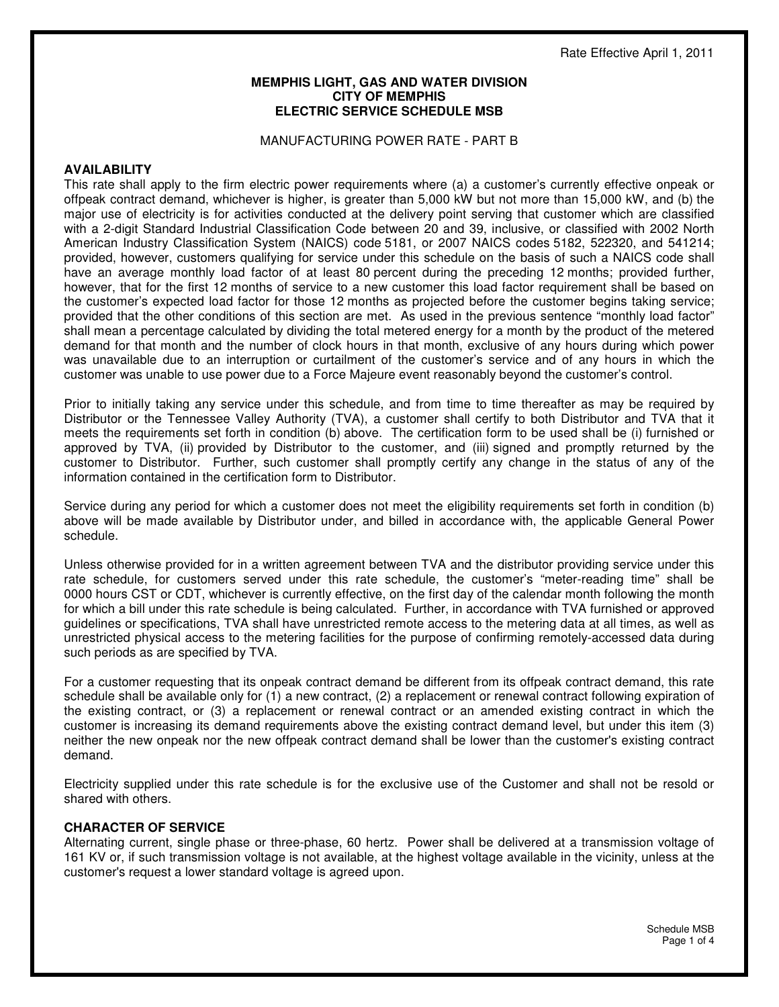#### **MEMPHIS LIGHT, GAS AND WATER DIVISION CITY OF MEMPHIS ELECTRIC SERVICE SCHEDULE MSB**

#### MANUFACTURING POWER RATE - PART B

#### **AVAILABILITY**

This rate shall apply to the firm electric power requirements where (a) a customer's currently effective onpeak or offpeak contract demand, whichever is higher, is greater than 5,000 kW but not more than 15,000 kW, and (b) the major use of electricity is for activities conducted at the delivery point serving that customer which are classified with a 2-digit Standard Industrial Classification Code between 20 and 39, inclusive, or classified with 2002 North American Industry Classification System (NAICS) code 5181, or 2007 NAICS codes 5182, 522320, and 541214; provided, however, customers qualifying for service under this schedule on the basis of such a NAICS code shall have an average monthly load factor of at least 80 percent during the preceding 12 months; provided further, however, that for the first 12 months of service to a new customer this load factor requirement shall be based on the customer's expected load factor for those 12 months as projected before the customer begins taking service; provided that the other conditions of this section are met. As used in the previous sentence "monthly load factor" shall mean a percentage calculated by dividing the total metered energy for a month by the product of the metered demand for that month and the number of clock hours in that month, exclusive of any hours during which power was unavailable due to an interruption or curtailment of the customer's service and of any hours in which the customer was unable to use power due to a Force Majeure event reasonably beyond the customer's control.

Prior to initially taking any service under this schedule, and from time to time thereafter as may be required by Distributor or the Tennessee Valley Authority (TVA), a customer shall certify to both Distributor and TVA that it meets the requirements set forth in condition (b) above. The certification form to be used shall be (i) furnished or approved by TVA, (ii) provided by Distributor to the customer, and (iii) signed and promptly returned by the customer to Distributor. Further, such customer shall promptly certify any change in the status of any of the information contained in the certification form to Distributor.

Service during any period for which a customer does not meet the eligibility requirements set forth in condition (b) above will be made available by Distributor under, and billed in accordance with, the applicable General Power schedule.

Unless otherwise provided for in a written agreement between TVA and the distributor providing service under this rate schedule, for customers served under this rate schedule, the customer's "meter-reading time" shall be 0000 hours CST or CDT, whichever is currently effective, on the first day of the calendar month following the month for which a bill under this rate schedule is being calculated. Further, in accordance with TVA furnished or approved guidelines or specifications, TVA shall have unrestricted remote access to the metering data at all times, as well as unrestricted physical access to the metering facilities for the purpose of confirming remotely-accessed data during such periods as are specified by TVA.

For a customer requesting that its onpeak contract demand be different from its offpeak contract demand, this rate schedule shall be available only for (1) a new contract, (2) a replacement or renewal contract following expiration of the existing contract, or (3) a replacement or renewal contract or an amended existing contract in which the customer is increasing its demand requirements above the existing contract demand level, but under this item (3) neither the new onpeak nor the new offpeak contract demand shall be lower than the customer's existing contract demand.

Electricity supplied under this rate schedule is for the exclusive use of the Customer and shall not be resold or shared with others.

#### **CHARACTER OF SERVICE**

Alternating current, single phase or three-phase, 60 hertz. Power shall be delivered at a transmission voltage of 161 KV or, if such transmission voltage is not available, at the highest voltage available in the vicinity, unless at the customer's request a lower standard voltage is agreed upon.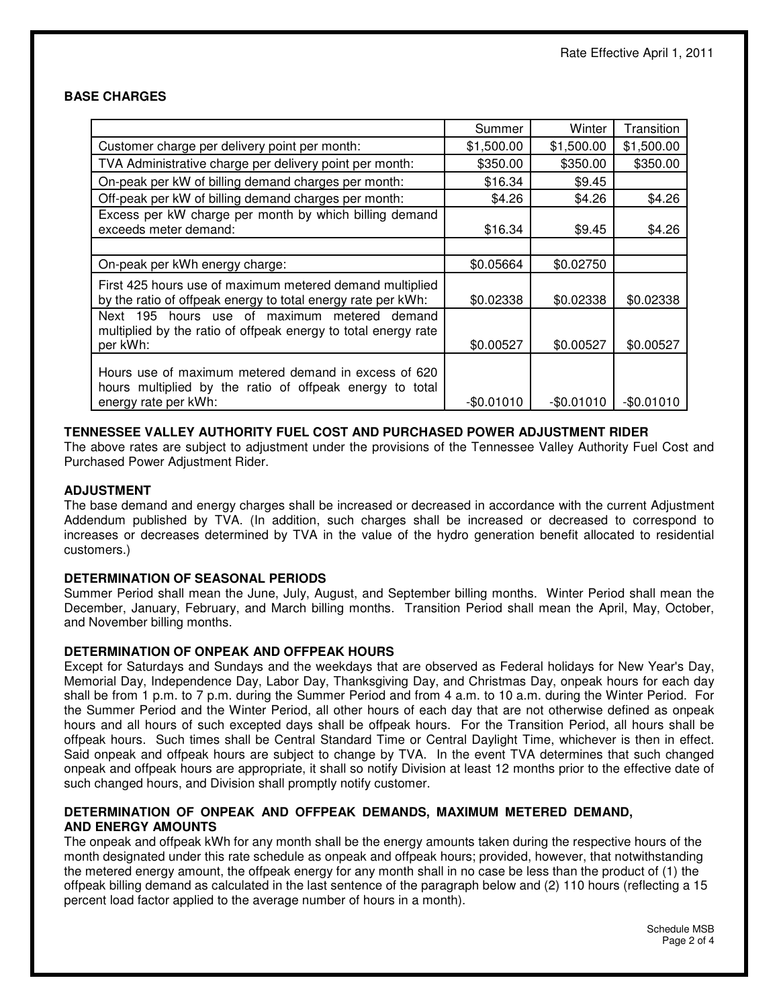### **BASE CHARGES**

|                                                                                                                                          | Summer     | Winter      | Transition  |
|------------------------------------------------------------------------------------------------------------------------------------------|------------|-------------|-------------|
| Customer charge per delivery point per month:                                                                                            | \$1,500.00 | \$1,500.00  | \$1,500.00  |
| TVA Administrative charge per delivery point per month:                                                                                  | \$350.00   | \$350.00    | \$350.00    |
| On-peak per kW of billing demand charges per month:                                                                                      | \$16.34    | \$9.45      |             |
| Off-peak per kW of billing demand charges per month:                                                                                     | \$4.26     | \$4.26      | \$4.26      |
| Excess per kW charge per month by which billing demand<br>exceeds meter demand:                                                          | \$16.34    | \$9.45      | \$4.26      |
|                                                                                                                                          |            |             |             |
| On-peak per kWh energy charge:                                                                                                           | \$0.05664  | \$0.02750   |             |
| First 425 hours use of maximum metered demand multiplied<br>by the ratio of offpeak energy to total energy rate per kWh:                 | \$0.02338  | \$0.02338   | \$0.02338   |
| hours use of maximum metered demand<br>Next 195<br>multiplied by the ratio of offpeak energy to total energy rate<br>per kWh:            | \$0.00527  | \$0.00527   | \$0.00527   |
| Hours use of maximum metered demand in excess of 620<br>hours multiplied by the ratio of offpeak energy to total<br>energy rate per kWh: | -\$0.01010 | $-$0.01010$ | $-$0.01010$ |

### **TENNESSEE VALLEY AUTHORITY FUEL COST AND PURCHASED POWER ADJUSTMENT RIDER**

The above rates are subject to adjustment under the provisions of the Tennessee Valley Authority Fuel Cost and Purchased Power Adjustment Rider.

### **ADJUSTMENT**

The base demand and energy charges shall be increased or decreased in accordance with the current Adjustment Addendum published by TVA. (In addition, such charges shall be increased or decreased to correspond to increases or decreases determined by TVA in the value of the hydro generation benefit allocated to residential customers.)

### **DETERMINATION OF SEASONAL PERIODS**

Summer Period shall mean the June, July, August, and September billing months. Winter Period shall mean the December, January, February, and March billing months. Transition Period shall mean the April, May, October, and November billing months.

### **DETERMINATION OF ONPEAK AND OFFPEAK HOURS**

Except for Saturdays and Sundays and the weekdays that are observed as Federal holidays for New Year's Day, Memorial Day, Independence Day, Labor Day, Thanksgiving Day, and Christmas Day, onpeak hours for each day shall be from 1 p.m. to 7 p.m. during the Summer Period and from 4 a.m. to 10 a.m. during the Winter Period. For the Summer Period and the Winter Period, all other hours of each day that are not otherwise defined as onpeak hours and all hours of such excepted days shall be offpeak hours. For the Transition Period, all hours shall be offpeak hours. Such times shall be Central Standard Time or Central Daylight Time, whichever is then in effect. Said onpeak and offpeak hours are subject to change by TVA. In the event TVA determines that such changed onpeak and offpeak hours are appropriate, it shall so notify Division at least 12 months prior to the effective date of such changed hours, and Division shall promptly notify customer.

#### **DETERMINATION OF ONPEAK AND OFFPEAK DEMANDS, MAXIMUM METERED DEMAND, AND ENERGY AMOUNTS**

The onpeak and offpeak kWh for any month shall be the energy amounts taken during the respective hours of the month designated under this rate schedule as onpeak and offpeak hours; provided, however, that notwithstanding the metered energy amount, the offpeak energy for any month shall in no case be less than the product of (1) the offpeak billing demand as calculated in the last sentence of the paragraph below and (2) 110 hours (reflecting a 15 percent load factor applied to the average number of hours in a month).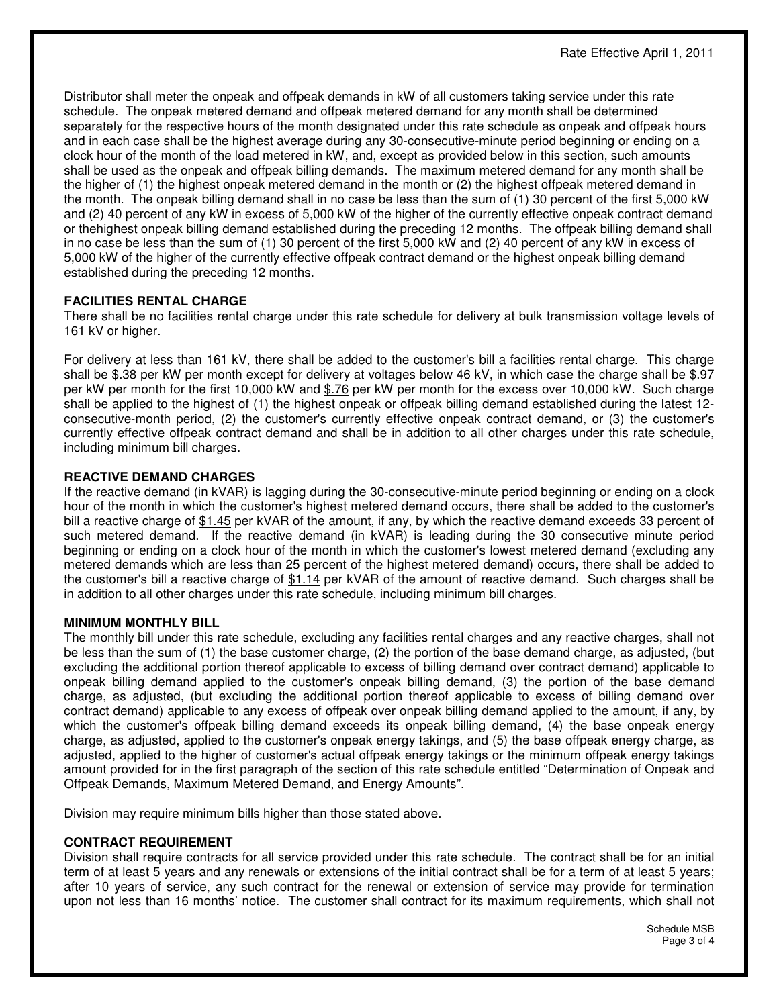Distributor shall meter the onpeak and offpeak demands in kW of all customers taking service under this rate schedule. The onpeak metered demand and offpeak metered demand for any month shall be determined separately for the respective hours of the month designated under this rate schedule as onpeak and offpeak hours and in each case shall be the highest average during any 30-consecutive-minute period beginning or ending on a clock hour of the month of the load metered in kW, and, except as provided below in this section, such amounts shall be used as the onpeak and offpeak billing demands. The maximum metered demand for any month shall be the higher of (1) the highest onpeak metered demand in the month or (2) the highest offpeak metered demand in the month. The onpeak billing demand shall in no case be less than the sum of (1) 30 percent of the first 5,000 kW and (2) 40 percent of any kW in excess of 5,000 kW of the higher of the currently effective onpeak contract demand or thehighest onpeak billing demand established during the preceding 12 months. The offpeak billing demand shall in no case be less than the sum of (1) 30 percent of the first 5,000 kW and (2) 40 percent of any kW in excess of 5,000 kW of the higher of the currently effective offpeak contract demand or the highest onpeak billing demand established during the preceding 12 months.

# **FACILITIES RENTAL CHARGE**

There shall be no facilities rental charge under this rate schedule for delivery at bulk transmission voltage levels of 161 kV or higher.

For delivery at less than 161 kV, there shall be added to the customer's bill a facilities rental charge. This charge shall be \$.38 per kW per month except for delivery at voltages below 46 kV, in which case the charge shall be \$.97 per kW per month for the first 10,000 kW and \$.76 per kW per month for the excess over 10,000 kW. Such charge shall be applied to the highest of (1) the highest onpeak or offpeak billing demand established during the latest 12 consecutive-month period, (2) the customer's currently effective onpeak contract demand, or (3) the customer's currently effective offpeak contract demand and shall be in addition to all other charges under this rate schedule, including minimum bill charges.

## **REACTIVE DEMAND CHARGES**

If the reactive demand (in kVAR) is lagging during the 30-consecutive-minute period beginning or ending on a clock hour of the month in which the customer's highest metered demand occurs, there shall be added to the customer's bill a reactive charge of \$1.45 per kVAR of the amount, if any, by which the reactive demand exceeds 33 percent of such metered demand. If the reactive demand (in kVAR) is leading during the 30 consecutive minute period beginning or ending on a clock hour of the month in which the customer's lowest metered demand (excluding any metered demands which are less than 25 percent of the highest metered demand) occurs, there shall be added to the customer's bill a reactive charge of \$1.14 per kVAR of the amount of reactive demand. Such charges shall be in addition to all other charges under this rate schedule, including minimum bill charges.

### **MINIMUM MONTHLY BILL**

The monthly bill under this rate schedule, excluding any facilities rental charges and any reactive charges, shall not be less than the sum of (1) the base customer charge, (2) the portion of the base demand charge, as adjusted, (but excluding the additional portion thereof applicable to excess of billing demand over contract demand) applicable to onpeak billing demand applied to the customer's onpeak billing demand, (3) the portion of the base demand charge, as adjusted, (but excluding the additional portion thereof applicable to excess of billing demand over contract demand) applicable to any excess of offpeak over onpeak billing demand applied to the amount, if any, by which the customer's offpeak billing demand exceeds its onpeak billing demand, (4) the base onpeak energy charge, as adjusted, applied to the customer's onpeak energy takings, and (5) the base offpeak energy charge, as adjusted, applied to the higher of customer's actual offpeak energy takings or the minimum offpeak energy takings amount provided for in the first paragraph of the section of this rate schedule entitled "Determination of Onpeak and Offpeak Demands, Maximum Metered Demand, and Energy Amounts".

Division may require minimum bills higher than those stated above.

# **CONTRACT REQUIREMENT**

Division shall require contracts for all service provided under this rate schedule. The contract shall be for an initial term of at least 5 years and any renewals or extensions of the initial contract shall be for a term of at least 5 years; after 10 years of service, any such contract for the renewal or extension of service may provide for termination upon not less than 16 months' notice. The customer shall contract for its maximum requirements, which shall not